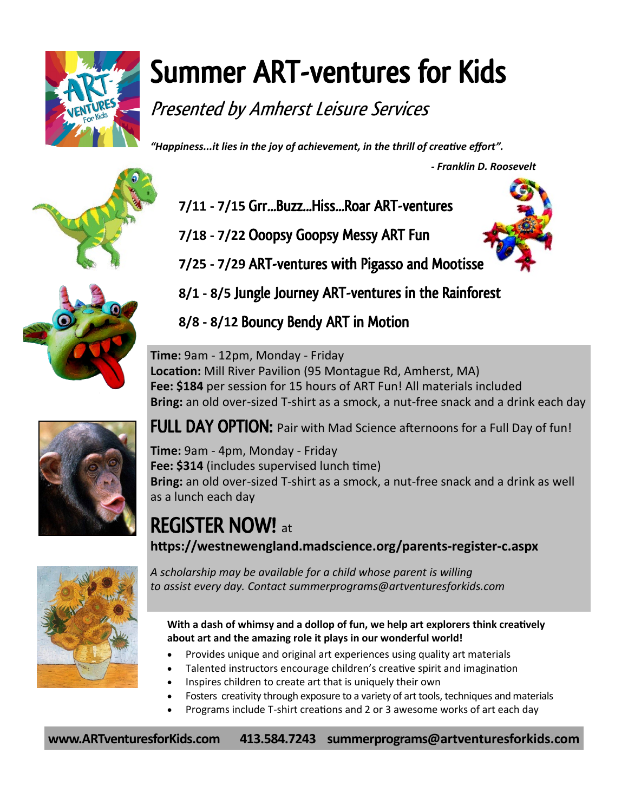

# Summer ART-ventures for Kids

Presented by Amherst Leisure Services

*"Happiness...it lies in the joy of achievement, in the thrill of creative effort".* 

 *- Franklin D. Roosevelt* 





- **7/11 - 7/15** Grr...Buzz...Hiss...Roar ART-ventures
- **7/18 - 7/22** Ooopsy Goopsy Messy ART Fun



**7/25 - 7/29** ART-ventures with Pigasso and Mootisse

**8/1 - 8/5** Jungle Journey ART-ventures in the Rainforest

**8/8 - 8/12** Bouncy Bendy ART in Motion

**Time:** 9am - 12pm, Monday - Friday **Location:** Mill River Pavilion (95 Montague Rd, Amherst, MA) **Fee: \$184** per session for 15 hours of ART Fun! All materials included **Bring:** an old over-sized T-shirt as a smock, a nut-free snack and a drink each day



FULL DAY OPTION: Pair with Mad Science afternoons for a Full Day of fun!

**Time:** 9am - 4pm, Monday - Friday **Fee: \$314** (includes supervised lunch time) **Bring:** an old over-sized T-shirt as a smock, a nut-free snack and a drink as well as a lunch each day

REGISTER NOW! at **[https://westnewengland.madscience.org/parents](https://westnewengland.madscience.org/parents-register-c.aspx)-register-c.aspx**



*A scholarship may be available for a child whose parent is willing to assist every day. Contact summerprograms@artventuresforkids.com*

**With a dash of whimsy and a dollop of fun, we help art explorers think creatively about art and the amazing role it plays in our wonderful world!** 

- Provides unique and original art experiences using quality art materials
- Talented instructors encourage children's creative spirit and imagination
- Inspires children to create art that is uniquely their own
- Fosters creativity through exposure to a variety of art tools, techniques and materials
- Programs include T‐shirt creations and 2 or 3 awesome works of art each day